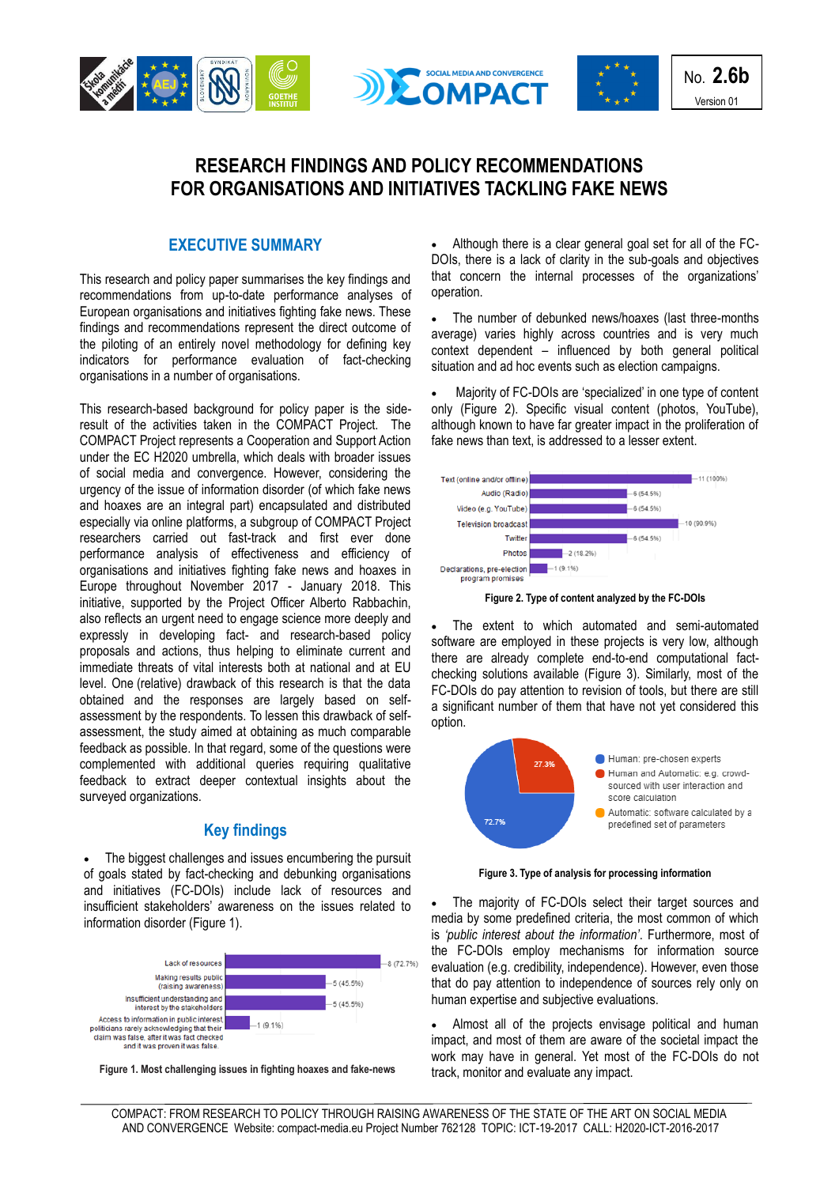





No. **2.6b** Version 01

# **RESEARCH FINDINGS AND POLICY RECOMMENDATIONS FOR ORGANISATIONS AND INITIATIVES TACKLING FAKE NEWS**

### **EXECUTIVE SUMMARY**

This research and policy paper summarises the key findings and recommendations from up-to-date performance analyses of European organisations and initiatives fighting fake news. These findings and recommendations represent the direct outcome of the piloting of an entirely novel methodology for defining key indicators for performance evaluation of fact-checking organisations in a number of organisations.

This research-based background for policy paper is the sideresult of the activities taken in the COMPACT Project. The COMPACT Project represents a Cooperation and Support Action under the EC H2020 umbrella, which deals with broader issues of social media and convergence. However, considering the urgency of the issue of information disorder (of which fake news and hoaxes are an integral part) encapsulated and distributed especially via online platforms, a subgroup of COMPACT Project researchers carried out fast-track and first ever done performance analysis of effectiveness and efficiency of organisations and initiatives fighting fake news and hoaxes in Europe throughout November 2017 - January 2018. This initiative, supported by the Project Officer Alberto Rabbachin, also reflects an urgent need to engage science more deeply and expressly in developing fact- and research-based policy proposals and actions, thus helping to eliminate current and immediate threats of vital interests both at national and at EU level. One (relative) drawback of this research is that the data obtained and the responses are largely based on selfassessment by the respondents. To lessen this drawback of selfassessment, the study aimed at obtaining as much comparable feedback as possible. In that regard, some of the questions were complemented with additional queries requiring qualitative feedback to extract deeper contextual insights about the surveyed organizations.

## **Key findings**

 The biggest challenges and issues encumbering the pursuit of goals stated by fact-checking and debunking organisations and initiatives (FC-DOIs) include lack of resources and insufficient stakeholders' awareness on the issues related to information disorder (Figure 1).



**Figure 1. Most challenging issues in fighting hoaxes and fake-news**

 Although there is a clear general goal set for all of the FC-DOIs, there is a lack of clarity in the sub-goals and objectives that concern the internal processes of the organizations' operation.

 The number of debunked news/hoaxes (last three-months average) varies highly across countries and is very much context dependent – influenced by both general political situation and ad hoc events such as election campaigns.

 Majority of FC-DOIs are 'specialized' in one type of content only (Figure 2). Specific visual content (photos, YouTube), although known to have far greater impact in the proliferation of fake news than text, is addressed to a lesser extent.



**Figure 2. Type of content analyzed by the FC-DOIs**

 The extent to which automated and semi-automated software are employed in these projects is very low, although there are already complete end-to-end computational factchecking solutions available (Figure 3). Similarly, most of the FC-DOIs do pay attention to revision of tools, but there are still a significant number of them that have not yet considered this option.



**Figure 3. Type of analysis for processing information**

 The majority of FC-DOIs select their target sources and media by some predefined criteria, the most common of which is *'public interest about the information'*. Furthermore, most of the FC-DOIs employ mechanisms for information source evaluation (e.g. credibility, independence). However, even those that do pay attention to independence of sources rely only on human expertise and subjective evaluations.

 Almost all of the projects envisage political and human impact, and most of them are aware of the societal impact the work may have in general. Yet most of the FC-DOIs do not track, monitor and evaluate any impact.